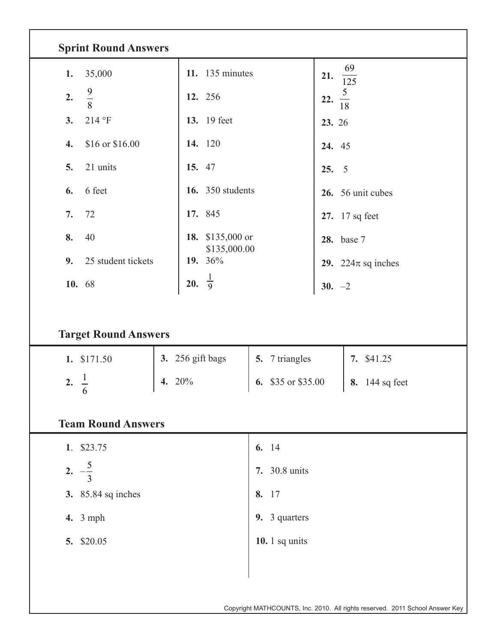| <b>Sprint Round Answers</b> |                                  |                    |                              |  |  |  |  |  |  |  |
|-----------------------------|----------------------------------|--------------------|------------------------------|--|--|--|--|--|--|--|
| 35,000<br>1.                | 11. $135$ minutes                |                    | 69<br>21.<br>$\frac{1}{125}$ |  |  |  |  |  |  |  |
| $\frac{9}{8}$<br>2.         | 12. 256                          |                    | $\frac{5}{18}$<br>22.        |  |  |  |  |  |  |  |
| 214 °F<br>3.                | 13. 19 feet                      |                    | 23. 26                       |  |  |  |  |  |  |  |
| \$16 or \$16.00<br>4.       | 14. 120                          |                    | 24. 45                       |  |  |  |  |  |  |  |
| 21 units<br>5.              | 15. 47                           |                    | $\overline{5}$<br>25.        |  |  |  |  |  |  |  |
| 6 feet<br>6.                | <b>16.</b> 350 students          |                    | 26. 56 unit cubes            |  |  |  |  |  |  |  |
| 72<br>7.                    | 17. 845                          |                    | 27. 17 sq feet               |  |  |  |  |  |  |  |
| 8.<br>40                    | 18. \$135,000 or<br>\$135,000.00 |                    | 28. base 7                   |  |  |  |  |  |  |  |
| 9.<br>25 student tickets    | 19. 36%                          |                    | 29. 224 $\pi$ sq inches      |  |  |  |  |  |  |  |
| 10. 68                      | 20. $\frac{1}{9}$                |                    | $30. -2$                     |  |  |  |  |  |  |  |
| <b>Target Round Answers</b> |                                  |                    |                              |  |  |  |  |  |  |  |
| 1. \$171.50                 | 3. 256 gift bags                 | 5. 7 triangles     | 7. \$41.25                   |  |  |  |  |  |  |  |
| $\frac{1}{6}$<br>2.         | 4. 20%                           | 6. \$35 or \$35.00 | 8. 144 sq feet               |  |  |  |  |  |  |  |
|                             |                                  |                    |                              |  |  |  |  |  |  |  |
| <b>Team Round Answers</b>   |                                  |                    |                              |  |  |  |  |  |  |  |
| 1. \$23.75                  |                                  | 6. 14              |                              |  |  |  |  |  |  |  |
| 2. $-\frac{5}{3}$           |                                  | 7. 30.8 units      |                              |  |  |  |  |  |  |  |
| <b>3.</b> 85.84 sq inches   |                                  | 8. 17              |                              |  |  |  |  |  |  |  |
| <b>4.</b> 3 mph             |                                  | 9. 3 quarters      |                              |  |  |  |  |  |  |  |
| 5. \$20.05                  |                                  | 10. $1$ sq units   |                              |  |  |  |  |  |  |  |
|                             |                                  |                    |                              |  |  |  |  |  |  |  |
|                             |                                  |                    |                              |  |  |  |  |  |  |  |